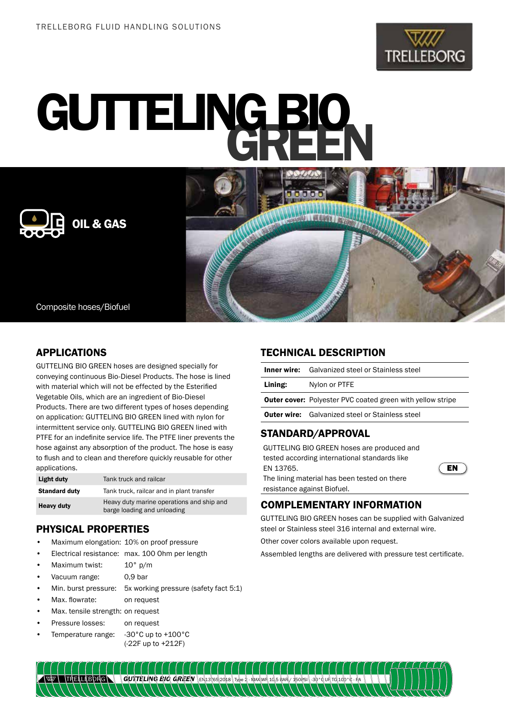

# GUTTELING BIO





# APPLICATIONS

GUTTELING BIO GREEN hoses are designed specially for conveying continuous Bio-Diesel Products. The hose is lined with material which will not be effected by the Esterified Vegetable Oils, which are an ingredient of Bio-Diesel Products. There are two different types of hoses depending on application: GUTTELING BIO GREEN lined with nylon for intermittent service only. GUTTELING BIO GREEN lined with PTFE for an indefinite service life. The PTFE liner prevents the hose against any absorption of the product. The hose is easy to flush and to clean and therefore quickly reusable for other applications.

| Light duty           | Tank truck and railcar                                                   |
|----------------------|--------------------------------------------------------------------------|
| <b>Standard duty</b> | Tank truck, railcar and in plant transfer                                |
| Heavy duty           | Heavy duty marine operations and ship and<br>barge loading and unloading |

# PHYSICAL PROPERTIES

- Maximum elongation: 10% on proof pressure
- Electrical resistance: max. 100 Ohm per length
- Maximum twist: 10° p/m
- Vacuum range: 0,9 bar
- Min. burst pressure: 5x working pressure (safety fact 5:1)
- Max. flowrate: on request
- Max. tensile strength: on request
- Pressure losses: on request
- Temperature range: -30°C up to +100°C
	- (-22F up to +212F)

# TECHNICAL DESCRIPTION

|         | <b>CTANDADD /ADDDAVAI</b>                                         |
|---------|-------------------------------------------------------------------|
|         | <b>Outer wire:</b> Galvanized steel or Stainless steel            |
|         | <b>Outer cover:</b> Polyester PVC coated green with yellow stripe |
| Lining: | Nylon or PTFE                                                     |
|         | <b>Inner wire:</b> Galvanized steel or Stainless steel            |

# STANDARD/APPROVAL

GUTTELING BIO GREEN hoses are produced and tested according international standards like EN 13765.

The lining material has been tested on there resistance against Biofuel.



# COMPLEMENTARY INFORMATION

GUTTELING BIO GREEN hoses can be supplied with Galvanized steel or Stainless steel 316 internal and external wire.

Other cover colors available upon request.

Assembled lengths are delivered with pressure test certificate.